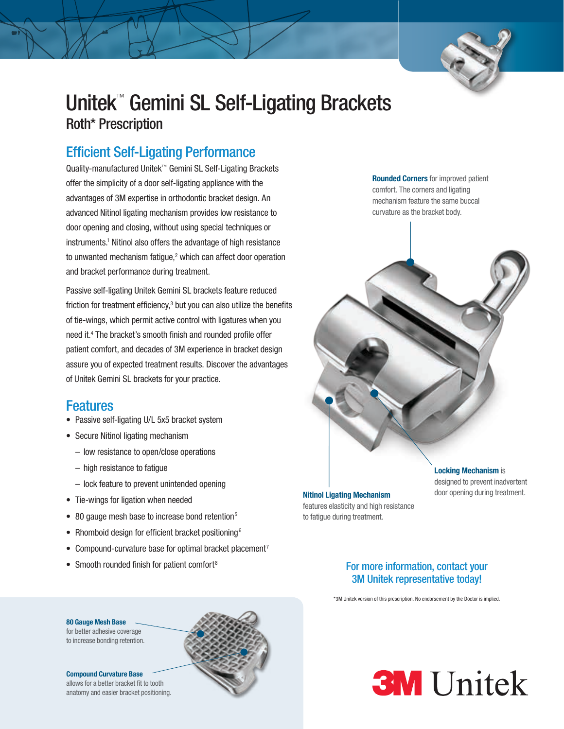

# Unitek™ Gemini SL Self-Ligating Brackets Roth\* Prescription

# Efficient Self-Ligating Performance

Quality-manufactured Unitek™ Gemini SL Self-Ligating Brackets offer the simplicity of a door self-ligating appliance with the advantages of 3M expertise in orthodontic bracket design. An advanced Nitinol ligating mechanism provides low resistance to door opening and closing, without using special techniques or instruments.<sup>1</sup> Nitinol also offers the advantage of high resistance to unwanted mechanism fatigue,<sup>2</sup> which can affect door operation and bracket performance during treatment.

Passive self-ligating Unitek Gemini SL brackets feature reduced friction for treatment efficiency, $3$  but you can also utilize the benefits of tie-wings, which permit active control with ligatures when you need it.4 The bracket's smooth finish and rounded profile offer patient comfort, and decades of 3M experience in bracket design assure you of expected treatment results. Discover the advantages of Unitek Gemini SL brackets for your practice.

## Features

- Passive self-ligating U/L 5x5 bracket system
- Secure Nitinol ligating mechanism
	- low resistance to open/close operations
	- high resistance to fatigue
	- lock feature to prevent unintended opening
- Tie-wings for ligation when needed
- 80 gauge mesh base to increase bond retention<sup>5</sup>
- Rhomboid design for efficient bracket positioning<sup>6</sup>
- Compound-curvature base for optimal bracket placement<sup>7</sup>
- Smooth rounded finish for patient comfort<sup>8</sup>

Nitinol Ligating Mechanism door opening during treatment. features elasticity and high resistance to fatigue during treatment.

Rounded Corners for improved patient comfort. The corners and ligating mechanism feature the same buccal curvature as the bracket body.



# **Locking Mechanism is** designed to prevent inadvertent

## For more information, contact your 3M Unitek representative today!

\*3M Unitek version of this prescription. No endorsement by the Doctor is implied.

### 80 Gauge Mesh Base

for better adhesive coverage to increase bonding retention.

#### Compound Curvature Base

allows for a better bracket fit to tooth anatomy and easier bracket positioning.